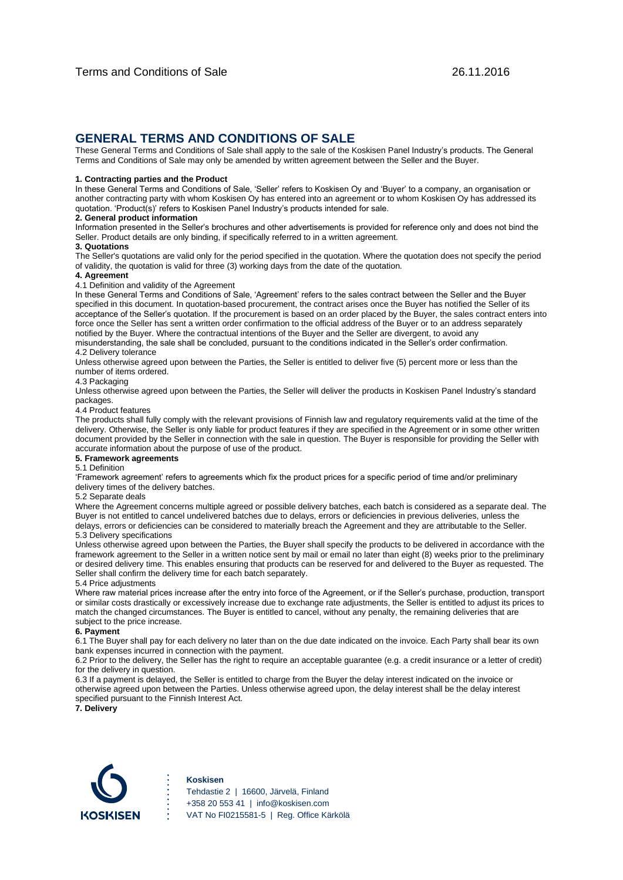# **GENERAL TERMS AND CONDITIONS OF SALE**

These General Terms and Conditions of Sale shall apply to the sale of the Koskisen Panel Industry's products. The General Terms and Conditions of Sale may only be amended by written agreement between the Seller and the Buyer.

### **1. Contracting parties and the Product**

In these General Terms and Conditions of Sale, 'Seller' refers to Koskisen Oy and 'Buyer' to a company, an organisation or another contracting party with whom Koskisen Oy has entered into an agreement or to whom Koskisen Oy has addressed its quotation. 'Product(s)' refers to Koskisen Panel Industry's products intended for sale.

# **2. General product information**

Information presented in the Seller's brochures and other advertisements is provided for reference only and does not bind the Seller. Product details are only binding, if specifically referred to in a written agreement.

# **3. Quotations**

The Seller's quotations are valid only for the period specified in the quotation. Where the quotation does not specify the period of validity, the quotation is valid for three (3) working days from the date of the quotation.

### **4. Agreement**

4.1 Definition and validity of the Agreement

In these General Terms and Conditions of Sale, 'Agreement' refers to the sales contract between the Seller and the Buyer specified in this document. In quotation-based procurement, the contract arises once the Buyer has notified the Seller of its acceptance of the Seller's quotation. If the procurement is based on an order placed by the Buyer, the sales contract enters into force once the Seller has sent a written order confirmation to the official address of the Buyer or to an address separately notified by the Buyer. Where the contractual intentions of the Buyer and the Seller are divergent, to avoid any misunderstanding, the sale shall be concluded, pursuant to the conditions indicated in the Seller's order confirmation. 4.2 Delivery tolerance

Unless otherwise agreed upon between the Parties, the Seller is entitled to deliver five (5) percent more or less than the number of items ordered.

### 4.3 Packaging

Unless otherwise agreed upon between the Parties, the Seller will deliver the products in Koskisen Panel Industry's standard packages.

# 4.4 Product features

The products shall fully comply with the relevant provisions of Finnish law and regulatory requirements valid at the time of the delivery. Otherwise, the Seller is only liable for product features if they are specified in the Agreement or in some other written document provided by the Seller in connection with the sale in question. The Buyer is responsible for providing the Seller with accurate information about the purpose of use of the product.

# **5. Framework agreements**

5.1 Definition

'Framework agreement' refers to agreements which fix the product prices for a specific period of time and/or preliminary delivery times of the delivery batches.

### 5.2 Separate deals

Where the Agreement concerns multiple agreed or possible delivery batches, each batch is considered as a separate deal. The Buyer is not entitled to cancel undelivered batches due to delays, errors or deficiencies in previous deliveries, unless the delays, errors or deficiencies can be considered to materially breach the Agreement and they are attributable to the Seller. 5.3 Delivery specifications

Unless otherwise agreed upon between the Parties, the Buyer shall specify the products to be delivered in accordance with the framework agreement to the Seller in a written notice sent by mail or email no later than eight (8) weeks prior to the preliminary or desired delivery time. This enables ensuring that products can be reserved for and delivered to the Buyer as requested. The Seller shall confirm the delivery time for each batch separately.

### 5.4 Price adjustments

Where raw material prices increase after the entry into force of the Agreement, or if the Seller's purchase, production, transport or similar costs drastically or excessively increase due to exchange rate adjustments, the Seller is entitled to adjust its prices to match the changed circumstances. The Buyer is entitled to cancel, without any penalty, the remaining deliveries that are subject to the price increase.

### **6. Payment**

6.1 The Buyer shall pay for each delivery no later than on the due date indicated on the invoice. Each Party shall bear its own bank expenses incurred in connection with the payment.

6.2 Prior to the delivery, the Seller has the right to require an acceptable guarantee (e.g. a credit insurance or a letter of credit) for the delivery in question.

6.3 If a payment is delayed, the Seller is entitled to charge from the Buyer the delay interest indicated on the invoice or otherwise agreed upon between the Parties. Unless otherwise agreed upon, the delay interest shall be the delay interest specified pursuant to the Finnish Interest Act.

**7. Delivery**



### **Koskisen**

Tehdastie 2 | 16600, Järvelä, Finland +358 20 553 41 | info@koskisen.com VAT No FI0215581-5 | Reg. Office Kärkölä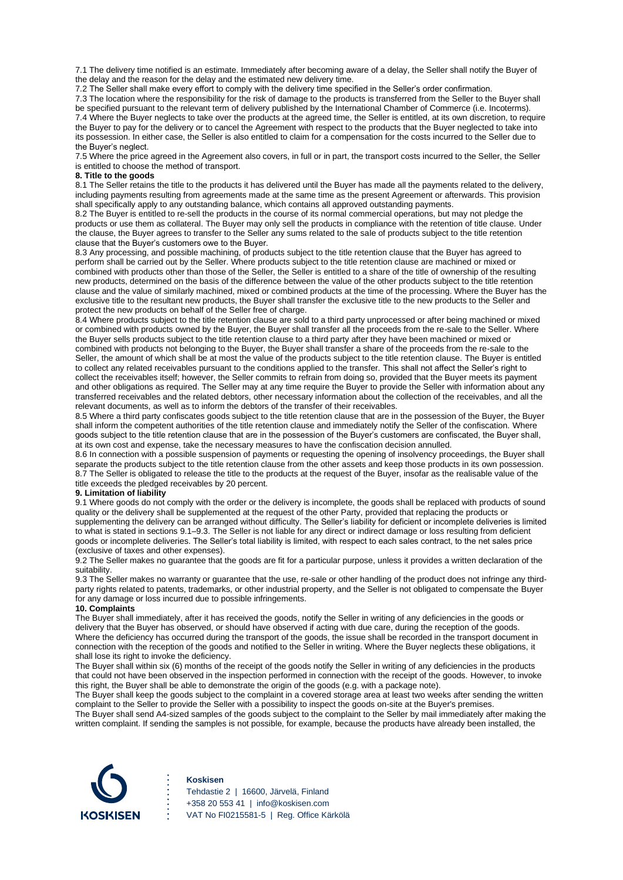7.1 The delivery time notified is an estimate. Immediately after becoming aware of a delay, the Seller shall notify the Buyer of the delay and the reason for the delay and the estimated new delivery time.

7.2 The Seller shall make every effort to comply with the delivery time specified in the Seller's order confirmation.

7.3 The location where the responsibility for the risk of damage to the products is transferred from the Seller to the Buyer shall be specified pursuant to the relevant term of delivery published by the International Chamber of Commerce (i.e. Incoterms). 7.4 Where the Buyer neglects to take over the products at the agreed time, the Seller is entitled, at its own discretion, to require the Buyer to pay for the delivery or to cancel the Agreement with respect to the products that the Buyer neglected to take into its possession. In either case, the Seller is also entitled to claim for a compensation for the costs incurred to the Seller due to the Buyer's neglect.

7.5 Where the price agreed in the Agreement also covers, in full or in part, the transport costs incurred to the Seller, the Seller is entitled to choose the method of transport.

# **8. Title to the goods**

8.1 The Seller retains the title to the products it has delivered until the Buyer has made all the payments related to the delivery, including payments resulting from agreements made at the same time as the present Agreement or afterwards. This provision shall specifically apply to any outstanding balance, which contains all approved outstanding payments.

8.2 The Buyer is entitled to re-sell the products in the course of its normal commercial operations, but may not pledge the products or use them as collateral. The Buyer may only sell the products in compliance with the retention of title clause. Under the clause, the Buyer agrees to transfer to the Seller any sums related to the sale of products subject to the title retention clause that the Buyer's customers owe to the Buyer.

8.3 Any processing, and possible machining, of products subject to the title retention clause that the Buyer has agreed to perform shall be carried out by the Seller. Where products subject to the title retention clause are machined or mixed or combined with products other than those of the Seller, the Seller is entitled to a share of the title of ownership of the resulting new products, determined on the basis of the difference between the value of the other products subject to the title retention clause and the value of similarly machined, mixed or combined products at the time of the processing. Where the Buyer has the exclusive title to the resultant new products, the Buyer shall transfer the exclusive title to the new products to the Seller and protect the new products on behalf of the Seller free of charge.

8.4 Where products subject to the title retention clause are sold to a third party unprocessed or after being machined or mixed or combined with products owned by the Buyer, the Buyer shall transfer all the proceeds from the re-sale to the Seller. Where the Buyer sells products subject to the title retention clause to a third party after they have been machined or mixed or combined with products not belonging to the Buyer, the Buyer shall transfer a share of the proceeds from the re-sale to the Seller, the amount of which shall be at most the value of the products subject to the title retention clause. The Buyer is entitled to collect any related receivables pursuant to the conditions applied to the transfer. This shall not affect the Seller's right to collect the receivables itself; however, the Seller commits to refrain from doing so, provided that the Buyer meets its payment and other obligations as required. The Seller may at any time require the Buyer to provide the Seller with information about any transferred receivables and the related debtors, other necessary information about the collection of the receivables, and all the relevant documents, as well as to inform the debtors of the transfer of their receivables.

8.5 Where a third party confiscates goods subject to the title retention clause that are in the possession of the Buyer, the Buyer shall inform the competent authorities of the title retention clause and immediately notify the Seller of the confiscation. Where goods subject to the title retention clause that are in the possession of the Buyer's customers are confiscated, the Buyer shall, at its own cost and expense, take the necessary measures to have the confiscation decision annulled.

8.6 In connection with a possible suspension of payments or requesting the opening of insolvency proceedings, the Buyer shall separate the products subject to the title retention clause from the other assets and keep those products in its own possession. 8.7 The Seller is obligated to release the title to the products at the request of the Buyer, insofar as the realisable value of the title exceeds the pledged receivables by 20 percent.

# **9. Limitation of liability**

9.1 Where goods do not comply with the order or the delivery is incomplete, the goods shall be replaced with products of sound quality or the delivery shall be supplemented at the request of the other Party, provided that replacing the products or supplementing the delivery can be arranged without difficulty. The Seller's liability for deficient or incomplete deliveries is limited to what is stated in sections 9.1–9.3. The Seller is not liable for any direct or indirect damage or loss resulting from deficient goods or incomplete deliveries. The Seller's total liability is limited, with respect to each sales contract, to the net sales price (exclusive of taxes and other expenses).

9.2 The Seller makes no guarantee that the goods are fit for a particular purpose, unless it provides a written declaration of the suitability.

9.3 The Seller makes no warranty or guarantee that the use, re-sale or other handling of the product does not infringe any thirdparty rights related to patents, trademarks, or other industrial property, and the Seller is not obligated to compensate the Buyer for any damage or loss incurred due to possible infringements.

### **10. Complaints**

The Buyer shall immediately, after it has received the goods, notify the Seller in writing of any deficiencies in the goods or delivery that the Buyer has observed, or should have observed if acting with due care, during the reception of the goods. Where the deficiency has occurred during the transport of the goods, the issue shall be recorded in the transport document in connection with the reception of the goods and notified to the Seller in writing. Where the Buyer neglects these obligations, it shall lose its right to invoke the deficiency.

The Buyer shall within six (6) months of the receipt of the goods notify the Seller in writing of any deficiencies in the products that could not have been observed in the inspection performed in connection with the receipt of the goods. However, to invoke this right, the Buyer shall be able to demonstrate the origin of the goods (e.g. with a package note).

The Buyer shall keep the goods subject to the complaint in a covered storage area at least two weeks after sending the written complaint to the Seller to provide the Seller with a possibility to inspect the goods on-site at the Buyer's premises.

The Buyer shall send A4-sized samples of the goods subject to the complaint to the Seller by mail immediately after making the written complaint. If sending the samples is not possible, for example, because the products have already been installed, the



#### **Koskisen**

Tehdastie 2 | 16600, Järvelä, Finland +358 20 553 41 | info@koskisen.com VAT No FI0215581-5 | Reg. Office Kärkölä